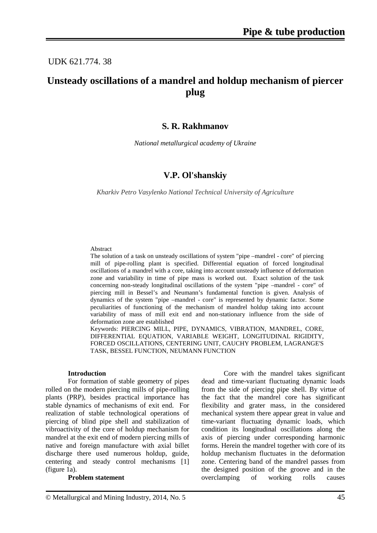# UDK 621.774. 38

# **Unsteady oscillations of a mandrel and holdup mechanism of piercer plug**

## **S. R. Rakhmanov**

*National metallurgical academy of Ukraine*

# **V.P. Ol'shanskiy**

*Kharkiv Petro Vasylenko National Technical University of Agriculture*

#### Abstract

The solution of a task on unsteady oscillations of system "pipe –mandrel - core" of piercing mill of pipe-rolling plant is specified. Differential equation of forced longitudinal oscillations of a mandrel with a core, taking into account unsteady influence of deformation zone and variability in time of pipe mass is worked out. Exact solution of the task concerning non-steady longitudinal oscillations of the system "pipe –mandrel - core" of piercing mill in Bessel's and Neumann's fundamental function is given. Analysis of dynamics of the system "pipe –mandrel - core" is represented by dynamic factor. Some peculiarities of functioning of the mechanism of mandrel holdup taking into account variability of mass of mill exit end and non-stationary influence from the side of deformation zone are established

Keywords: PIERCING MILL, PIPE, DYNAMICS, VIBRATION, MANDREL, CORE, DIFFERENTIAL EQUATION, VARIABLE WEIGHT, LONGITUDINAL RIGIDITY, FORCED OSCILLATIONS, CENTERING UNIT, CAUCHY PROBLEM, LAGRANGE'S TASK, BESSEL FUNCTION, NEUMANN FUNCTION

#### **Introduction**

For formation of stable geometry of pipes rolled on the modern piercing mills of pipe-rolling plants (PRP), besides practical importance has stable dynamics of mechanisms of exit end. For realization of stable technological operations of piercing of blind pipe shell and stabilization of vibroactivity of the core of holdup mechanism for mandrel at the exit end of modern piercing mills of native and foreign manufacture with axial billet discharge there used numerous holdup, guide, centering and steady control mechanisms [1] (figure 1a).

#### **Problem statement**

Core with the mandrel takes significant dead and time-variant fluctuating dynamic loads from the side of piercing pipe shell. By virtue of the fact that the mandrel core has significant flexibility and grater mass, in the considered mechanical system there appear great in value and time-variant fluctuating dynamic loads, which condition its longitudinal oscillations along the axis of piercing under corresponding harmonic forms. Herein the mandrel together with core of its holdup mechanism fluctuates in the deformation zone. Centering band of the mandrel passes from the designed position of the groove and in the overclamping of working rolls causes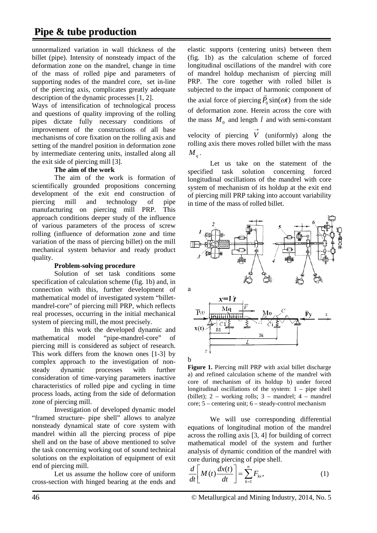unnormalized variation in wall thickness of the billet (pipe). Intensity of nonsteady impact of the deformation zone on the mandrel, change in time of the mass of rolled pipe and parameters of supporting nodes of the mandrel core, set in-line of the piercing axis, complicates greatly adequate description of the dynamic processes [1, 2].

Ways of intensification of technological process and questions of quality improving of the rolling pipes dictate fully necessary conditions of improvement of the constructions of all base mechanisms of core fixation on the rolling axis and setting of the mandrel position in deformation zone by intermediate centering units, installed along all the exit side of piercing mill [3].

## **The aim of the work**

The aim of the work is formation of scientifically grounded propositions concerning development of the exit end construction of piercing mill and technology of pipe manufacturing on piercing mill PRP. This approach conditions deeper study of the influence of various parameters of the process of screw rolling (influence of deformation zone and time variation of the mass of piercing billet) on the mill mechanical system behavior and ready product quality.

### **Problem-solving procedure**

Solution of set task conditions some specification of calculation scheme (fig. 1b) and, in connection with this, further development of mathematical model of investigated system "billetmandrel-core" of piercing mill PRP, which reflects real processes, occurring in the initial mechanical system of piercing mill, the most precisely.

In this work the developed dynamic and mathematical model "pipe-mandrel-core" of piercing mill is considered as subject of research. This work differs from the known ones [1-3] by complex approach to the investigation of nonsteady dynamic processes with further consideration of time-varying parameters inactive characteristics of rolled pipe and cycling in time process loads, acting from the side of deformation zone of piercing mill.

Investigation of developed dynamic model "framed structure- pipe shell" allows to analyze nonsteady dynamical state of core system with mandrel within all the piercing process of pipe shell and on the base of above mentioned to solve the task concerning working out of sound technical solutions on the exploitation of equipment of exit end of piercing mill.

Let us assume the hollow core of uniform cross-section with hinged bearing at the ends and elastic supports (centering units) between them (fig. 1b) as the calculation scheme of forced longitudinal oscillations of the mandrel with core of mandrel holdup mechanism of piercing mill PRP. The core together with rolled billet is subjected to the impact of harmonic component of the axial force of piercing  $\vec{P}_0 \sin(\omega t)$  from the side of deformation zone. Herein across the core with the mass  $M_0$  and length *l* and with semi-constant velocity of piercing  $\overrightarrow{V}$  (uniformly) along the rolling axis there moves rolled billet with the mass

 $M_{\alpha}$ .

Let us take on the statement of the specified task solution concerning forced longitudinal oscillations of the mandrel with core system of mechanism of its holdup at the exit end of piercing mill PRP taking into account variability in time of the mass of rolled billet.



**Figure 1.** Piercing mill PRP with axial billet discharge a) and refined calculation scheme of the mandrel with core of mechanism of its holdup b) under forced longitudinal oscillations of the system:  $1 - pipe$  shell (billet):  $2 -$  working rolls:  $3 -$  mandrel;  $4 -$  mandrel core; 5 – centering unit; 6 – steady-control mechanism

We will use corresponding differential equations of longitudinal motion of the mandrel across the rolling axis [3, 4] for building of correct mathematical model of the system and further analysis of dynamic condition of the mandrel with core during piercing of pipe shell.

$$
\frac{d}{dt}\left[M(t)\frac{dx(t)}{dt}\right] = \sum_{k=1}^{n} F_{kx},\tag{1}
$$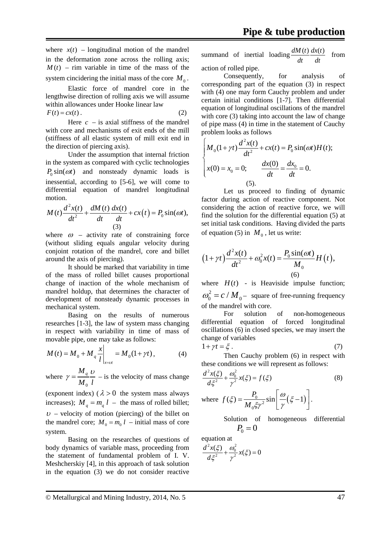where  $x(t)$  – longitudinal motion of the mandrel in the deformation zone across the rolling axis;  $M(t)$  – rim variable in time of the mass of the system cincidering the initial mass of the core  $M_0$ .

Elastic force of mandrel core in the lengthwise direction of rolling axis we will assume within allowances under Hooke linear law  $F(t) = cx(t)$ . (2)

Here  $c -$  is axial stiffness of the mandrel with core and mechanisms of exit ends of the mill (stiffness of all elastic system of mill exit end in the direction of piercing axis).

Under the assumption that internal friction in the system as compared with cyclic technologies  $P_0 \sin(\omega t)$  and nonsteady dynamic loads is inessential, according to [5-6], we will come to differential equation of mandrel longitudinal motion.

$$
M(t)\frac{d^2x(t)}{dt^2} + \frac{dM(t)}{dt}\frac{dx(t)}{dt} + cx(t) = P_0\sin(\omega t),
$$
  
(3)

where  $\omega$  – activity rate of constraining force (without sliding equals angular velocity during conjoint rotation of the mandrel, core and billet around the axis of piercing).

It should be marked that variability in time of the mass of rolled billet causes proportional change of inaction of the whole mechanism of mandrel holdup, that determines the character of development of nonsteady dynamic processes in mechanical system.

Basing on the results of numerous researches [1-3], the law of system mass changing in respect with variability in time of mass of movable pipe, one may take as follows:

$$
M(t) = M_0 + M_q \frac{x}{l}\bigg|_{x=vt} = M_0(1 + \gamma t), \tag{4}
$$

where  $\mathbf{0}$ *M q*  $M_{\rm \,0}^{\rm \,l}$  $\gamma = \frac{M_q}{r} \frac{U}{I}$  – is the velocity of mass change

(exponent index) ( $\lambda > 0$  the system mass always increases);  $M_a = m_a l$  – the mass of rolled billet;  $u -$  velocity of motion (piercing) of the billet on the mandrel core;  $M_0 = m_0 l$  – initial mass of core system.

Basing on the researches of questions of body dynamics of variable mass, proceeding from the statement of fundamental problem of I. V. Meshcherskiy [4], in this approach of task solution in the equation (3) we do not consider reactive

summand of inertial loading  $\frac{dM(t)}{dt} \frac{dx(t)}{dt}$ *dt dt* from action of rolled pipe.

Consequently, for analysis of corresponding part of the equation (3) in respect with (4) one may form Cauchy problem and under certain initial conditions [1-7]. Then differential equation of longitudinal oscillations of the mandrel with core (3) taking into account the law of change of pipe mass (4) in time in the statement of Cauchy problem looks as follows

$$
\begin{cases}\nM_0(1+\gamma t) \frac{d^2 x(t)}{dt^2} + cx(t) = P_0 \sin(\omega t) H(t); \\
x(0) = x_0 = 0; \qquad \frac{dx(0)}{dt} = \frac{dx_0}{dt} = 0. \\
(5).\n\end{cases}
$$

Let us proceed to finding of dynamic factor during action of reactive component. Not considering the action of reactive force, we will find the solution for the differential equation (5) at set initial task conditions. Having divided the parts of equation (5) in  $M_0$ , let us write:

$$
(1 + \gamma t) \frac{d^2 x(t)}{dt^2} + \omega_0^2 x(t) = \frac{P_0 \sin(\omega t)}{M_0} H(t),
$$
  
(6)

where  $H(t)$  - is Heaviside impulse function;  $\omega_0^2 = c / M_0$  – square of free-running frequency of the mandrel with core.

For solution of non-homogeneous differential equation of forced longitudinal oscillations (6) in closed species, we may insert the change of variables

$$
1 + \gamma t = \xi \tag{7}
$$

Then Cauchy problem (6) in respect with these conditions we will represent as follows:

$$
\frac{d^2x(\xi)}{d\xi^2} + \frac{\omega_0^2}{\gamma^2}x(\xi) = f(\xi)
$$
\n(8)

\nwhere 
$$
f(\xi) = \frac{P_0}{M_0 \xi \gamma^2} \sin\left[\frac{\omega}{\gamma}(\xi - 1)\right].
$$

Solution of homogeneous differential  $P_0 = 0$ 

equation at

$$
\frac{d^2x(\xi)}{d\xi^2} + \frac{\omega_0^2}{\gamma^2}x(\xi) = 0
$$

© Metallurgical and Mining Industry, 2014, No. 5 47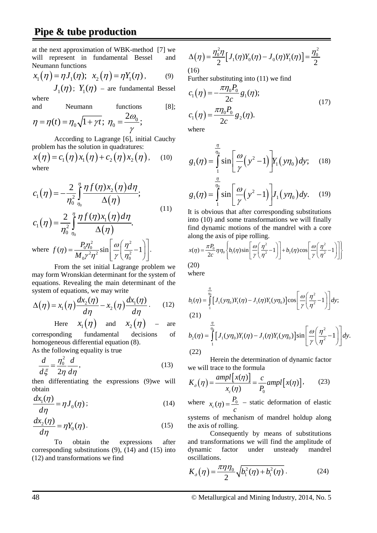# **Pipe & tube production**

at the next approximation of WBK-method [7] we will represent in fundamental Bessel and Neumann functions

$$
x_1(\eta) = \eta J_1(\eta); \quad x_2(\eta) = \eta Y_1(\eta), \quad (9)
$$

where  $J_1(\eta)$ ;  $Y_1(\eta)$  – are fundamental Bessel

and Neumann functions [8];  $2\omega$ 

$$
\eta = \eta(t) = \eta_0 \sqrt{1 + \gamma t}; \ \eta_0 = \frac{2\omega_0}{\gamma};
$$

According to Lagrange [6], initial Cauchy problem has the solution in quadratures:

$$
x(\eta) = c_1(\eta) x_1(\eta) + c_2(\eta) x_2(\eta), \quad (10)
$$
  
where

$$
c_1(\eta) = -\frac{2}{\eta_0^2} \int_{\eta_0}^{\eta} \frac{\eta f(\eta) x_2(\eta) d\eta}{\Delta(\eta)};
$$
\n
$$
2 \int_{\eta_0}^{\eta} \eta f(\eta) x_1(\eta) d\eta
$$
\n(11)

$$
c_1(\eta) = \frac{2}{\eta_0^2} \int_{\eta_0}^{\eta} \frac{\eta f(\eta) x_1(\eta) d\eta}{\Delta(\eta)}.
$$
  
where  $f(\eta) = \frac{P_0 \eta_0^2}{M_0 \gamma^2 \eta^2} \sin \left[ \frac{\omega}{\gamma} \left( \frac{\eta^2}{\eta_0^2} - 1 \right) \right].$ 

From the set initial Lagrange problem we may form Wronskian determinant for the system of equations. Revealing the main determinant of the system of equations, we may write

$$
\Delta(\eta) = x_1(\eta) \frac{dx_2(\eta)}{d\eta} - x_2(\eta) \frac{dx_1(\eta)}{d\eta}.
$$
 (12)

Here 
$$
x_1(\eta)
$$
 and  $x_2(\eta)$  – are  
corresponding fundamental decisions of

homogeneous differential equation (8). As the following equality is true

$$
\frac{d}{d\xi} = \frac{\eta_0^2}{2\eta} \frac{d}{d\eta},\tag{13}
$$

then differentiating the expressions (9)we will obtain

$$
\frac{dx_1(\eta)}{d\eta} = \eta J_0(\eta) \tag{14}
$$

$$
\frac{dx_2(\eta)}{d\eta} = \eta Y_0(\eta). \tag{15}
$$

To obtain the expressions after corresponding substitutions (9), (14) and (15) into (12) and transformations we find

$$
\Delta(\eta) = \frac{\eta_0^2 \eta}{2} [J_1(\eta) Y_0(\eta) - J_0(\eta) Y_1(\eta)] = \frac{\eta_0^2}{2}
$$
\n(16)

Further substituting into (11) we find

$$
c_1(\eta) = -\frac{\pi \eta_0 P_0}{2c} g_1(\eta);
$$
  
\n
$$
c_1(\eta) = \frac{\pi \eta_0 P_0}{2c} g_2(\eta).
$$
 (17)  
\nwhere

where

$$
g_1(\eta) = \int_{1}^{\frac{\eta}{\eta_0}} \sin \left[ \frac{\omega}{\gamma} (y^2 - 1) \right] Y_1(y\eta_0) dy; \quad (18)
$$

$$
g_1(\eta) = \int_{1}^{\frac{\eta}{\eta_0}} \sin \left[ \frac{\omega}{\gamma} (y^2 - 1) \right] J_1(y\eta_0) dy. \quad (19)
$$

1 It is obvious that after corresponding substitutions into (10) and some transformations we will finally find dynamic motions of the mandrel with a core along the axis of pipe rolling.

$$
x(\eta) = \frac{\pi P_0}{2c} \eta \eta_0 \left\{ b_1(\eta) \sin \left[ \frac{\omega}{\gamma} \left( \frac{\eta^2}{\eta^2} - 1 \right) \right] + b_2(\eta) \cos \left[ \frac{\omega}{\gamma} \left( \frac{\eta^2}{\eta^2} - 1 \right) \right] \right\}
$$
\n(20)

where

$$
b_1(\eta) = \int_{1}^{\frac{\eta}{\eta_0}} \left[ J_1(y\eta_0) Y_1(\eta) - J_1(\eta) Y_1(y\eta_0) \right] \cos \left[ \frac{\omega}{\gamma} \left( \frac{\eta^2}{\eta^2} - 1 \right) \right] dy; (21)
$$

$$
b_2(\eta) = \int_{1}^{\frac{\eta}{\eta_0}} \left[ J_1(y\eta_0) Y_1(\eta) - J_1(\eta) Y_1(y\eta_0) \right] \sin \left[ \frac{\omega}{\gamma} \left( \frac{\eta^2}{\eta^2} - 1 \right) \right] dy.
$$

1 (22) Herein the determination of dynamic factor we will trace to the formula

$$
K_o(\eta) = \frac{ampl[x(\eta)]}{x_c(\eta)} = \frac{c}{P_0} ampl[x(\eta)], \qquad (23)
$$

where  $x_c(\eta) = \frac{P_0}{\eta}$ *c*  $(\eta) = \frac{F_0}{\eta}$  – static deformation of elastic systems of mechanism of mandrel holdup along the axis of rolling.

Consequently by means of substitutions and transformations we will find the amplitude of dynamic factor under unsteady mandrel oscillations.

$$
K_o(\eta) = \frac{\pi \eta \eta_0}{2} \sqrt{b_1^2(\eta) + b_1^2(\eta)}.
$$
 (24)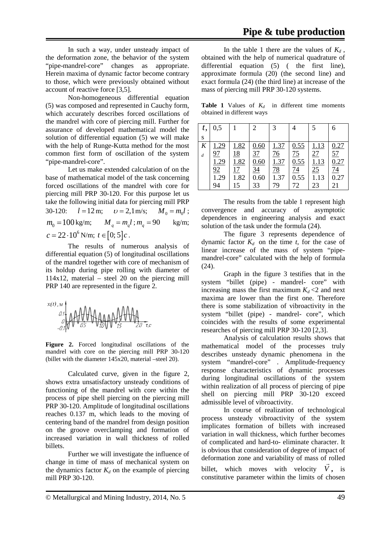In such a way, under unsteady impact of the deformation zone, the behavior of the system "pipe-mandrel-core" changes as appropriate. Herein maxima of dynamic factor become contrary to those, which were previously obtained without account of reactive force [3,5].

Non-homogeneous differential equation (5) was composed and represented in Cauchy form, which accurately describes forced oscillations of the mandrel with core of piercing mill. Further for assurance of developed mathematical model the solution of differential equation (5) we will make with the help of Runge-Kutta method for the most common first form of oscillation of the system "pipe-mandrel-core".

Let us make extended calculation of on the base of mathematical model of the task concerning forced oscillations of the mandrel with core for piercing mill PRP 30-120. For this purpose let us take the following initial data for piercing mill PRP 30-120:  $l = 12 \text{ m}; \quad v = 2, 1 \text{ m/s}; \quad M_0 = m_0 l$ ;  $m_0 = 100$  kg/m;  $M_q = m_q l$ ;  $m_q = 90$  kg/m;  $c = 22 \cdot 10^6 \,\mathrm{N/m}; t \in [0; 5]c$ .

The results of numerous analysis of differential equation (5) of longitudinal oscillations of the mandrel together with core of mechanism of its holdup during pipe rolling with diameter of  $114x12$ , material – steel 20 on the piercing mill PRP 140 are represented in the figure 2.



Figure 2. Forced longitudinal oscillations of the mandrel with core on the piercing mill PRP 30-120 (billet with the diameter 145х20, material –steel 20).

Calculated curve, given in the figure 2, shows extra unsatisfactory unsteady conditions of functioning of the mandrel with core within the process of pipe shell piercing on the piercing mill PRP 30-120. Amplitude of longitudinal oscillations reaches 0.137 m, which leads to the moving of centering band of the mandrel from design position on the groove overclamping and formation of increased variation in wall thickness of rolled billets.

Further we will investigate the influence of change in time of mass of mechanical system on the dynamics factor  $K_d$  on the example of piercing mill PRP 30-120.

In the table 1 there are the values of  $K_d$ , obtained with the help of numerical quadrature of differential equation (5) ( the first line), approximate formula (20) (the second line) and exact formula (24) (the third line) at increase of the mass of piercing mill PRP 30-120 systems.

**Table 1** Values of  $K_d$  in different time moments obtained in different ways

| t,               | 0,5            |                 | $\overline{2}$ | 3              |                   | 5           |                   |
|------------------|----------------|-----------------|----------------|----------------|-------------------|-------------|-------------------|
| S                |                |                 |                |                |                   |             |                   |
| $\boldsymbol{K}$ | <u>1.29</u>    | 1.82            | 0.60           | 1.37           | 0.55              | <u>1.13</u> | 0.27              |
| $\overline{d}$   | 97             | <u> 18</u>      | 37             | $\frac{76}{9}$ | $\frac{75}{0.55}$ | 27          | $\frac{57}{0.27}$ |
|                  | 1.29           | 1.82            | 0.60           | 1.37           |                   | 1.13        |                   |
|                  | 92             | $\overline{17}$ | <u>34</u>      | $\frac{78}{1}$ | $\frac{74}{0.55}$ | 25          | $\frac{74}{0.27}$ |
|                  | $\frac{1}{29}$ | 1.82            | 0.60           | 1.37           |                   | 1.13        |                   |
|                  | 94             | 15              | 33             | 79             | 72                | 23          | 21                |

The results from the table 1 represent high convergence and accuracy of asymptotic dependences in engineering analysis and exact solution of the task under the formula (24).

The figure 3 represents dependence of dynamic factor  $K_d$  on the time  $t$ , for the case of linear increase of the mass of system "pipemandrel-core" calculated with the help of formula (24).

Graph in the figure 3 testifies that in the system "billet (pipe) - mandrel- core" with increasing mass the first maximum  $K_d < 2$  and next maxima are lower than the first one. Therefore there is some stabilization of vibroactivity in the system "billet (pipe) - mandrel- core", which coincides with the results of some experimental researches of piercing mill PRP 30-120 [2,3].

Analysis of calculation results shows that mathematical model of the processes truly describes unsteady dynamic phenomena in the system "mandrel-core" . Amplitude-frequency response characteristics of dynamic processes during longitudinal oscillations of the system within realization of all process of piercing of pipe shell on piercing mill PRP 30-120 exceed admissible level of vibroactivity.

In course of realization of technological process unsteady vibroactivity of the system implicates formation of billets with increased variation in wall thickness, which further becomes of complicated and hard-to- eliminate character. It is obvious that consideration of degree of impact of deformation zone and variability of mass of rolled billet, which moves with velocity  $V$ , is constitutive parameter within the limits of chosen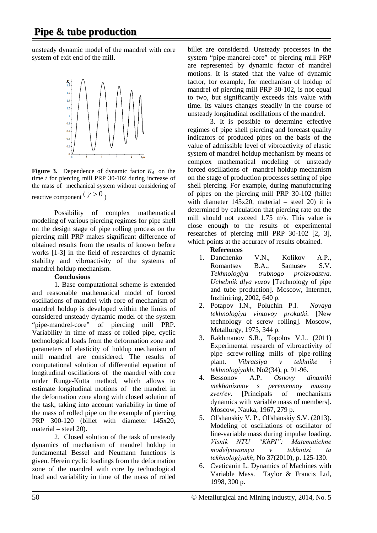unsteady dynamic model of the mandrel with core system of exit end of the mill.



**Figure 3.** Dependence of dynamic factor  $K_d$  on the time *t* for piercing mill PRP 30-102 during increase of the mass of mechanical system without considering of reactive component  $(\gamma > 0)$ 

Possibility of complex mathematical modeling of various piercing regimes for pipe shell on the design stage of pipe rolling process on the piercing mill PRP makes significant difference of obtained results from the results of known before works [1-3] in the field of researches of dynamic stability and vibroactivity of the systems of mandrel holdup mechanism.

### **Conclusions**

1. Base computational scheme is extended and reasonable mathematical model of forced oscillations of mandrel with core of mechanism of mandrel holdup is developed within the limits of considered unsteady dynamic model of the system "pipe-mandrel-core" of piercing mill PRP. Variability in time of mass of rolled pipe, cyclic technological loads from the deformation zone and parameters of elasticity of holdup mechanism of mill mandrel are considered. The results of computational solution of differential equation of longitudinal oscillations of the mandrel with core under Runge-Kutta method, which allows to estimate longitudinal motions of the mandrel in the deformation zone along with closed solution of the task, taking into account variability in time of the mass of rolled pipe on the example of piercing PRP 300-120 (billet with diameter 145x20, material – steel 20).

2. Closed solution of the task of unsteady dynamics of mechanism of mandrel holdup in fundamental Bessel and Neumann functions is given. Herein cyclic loadings from the deformation zone of the mandrel with core by technological load and variability in time of the mass of rolled

billet are considered. Unsteady processes in the system "pipe-mandrel-core" of piercing mill PRP are represented by dynamic factor of mandrel motions. It is stated that the value of dynamic factor, for example, for mechanism of holdup of mandrel of piercing mill PRP 30-102, is not equal to two, but significantly exceeds this value with time. Its values changes steadily in the course of unsteady longitudinal oscillations of the mandrel.

3. It is possible to determine effective regimes of pipe shell piercing and forecast quality indicators of produced pipes on the basis of the value of admissible level of vibroactivity of elastic system of mandrel holdup mechanism by means of complex mathematical modeling of unsteady forced oscillations of mandrel holdup mechanism on the stage of production processes setting of pipe shell piercing. For example, during manufacturing of pipes on the piercing mill PRP 30-102 (billet with diameter 145x20, material – steel 20) it is determined by calculation that piercing rate on the mill should not exceed 1.75 m/s. This value is close enough to the results of experimental researches of piercing mill PRP 30-102 [2, 3], which points at the accuracy of results obtained.

## **References**

- 1. Danchenko V.N., Kolikov A.P., Romantsev B.A., Samusev S.V. *Tekhnologiya trubnogo proizvodstva. Uchebnik dlya vuzov* [Technology of pipe and tube production]. Moscow, Intermet, Inzhiniring, 2002, 640 p.
- 2. Potapov I.N., Poluchin P.I. *Novaya tekhnologiya vintovoy prokatki.* [New technology of screw rolling]. Moscow, Metallurgy, 1975, 344 p.
- 3. Rakhmanov S.R., Topolov V.L. (2011) Experimental research of vibroactivity of pipe screw-rolling mills of pipe-rolling plant. *Vibratsiya v tekhnike tekhnologiyakh*, No2(34), p. 91-96.
- 4. Bessonov A.P. *Osnovy dinamiki mekhanizmov s peremennoy massoy zven'ev*. [Principals of mechanisms dynamics with variable mass of members]. Moscow, Nauka, 1967, 279 p.
- 5. Ol'shanskiy V. P., Ol'shanskiy S.V. (2013). Modeling of oscillations of oscillator of line-variable mass during impulse loading. *Vіsnik NTU "KhPІ": Matematichne modelyuvannya v tekhnіtsі ta tekhnologіyakh*, No 37(2010), p. 125-130.
- 6. Cveticanin L. Dynamics of Machines with Variable Mass. Taylor & Francis Ltd, 1998, 300 p.